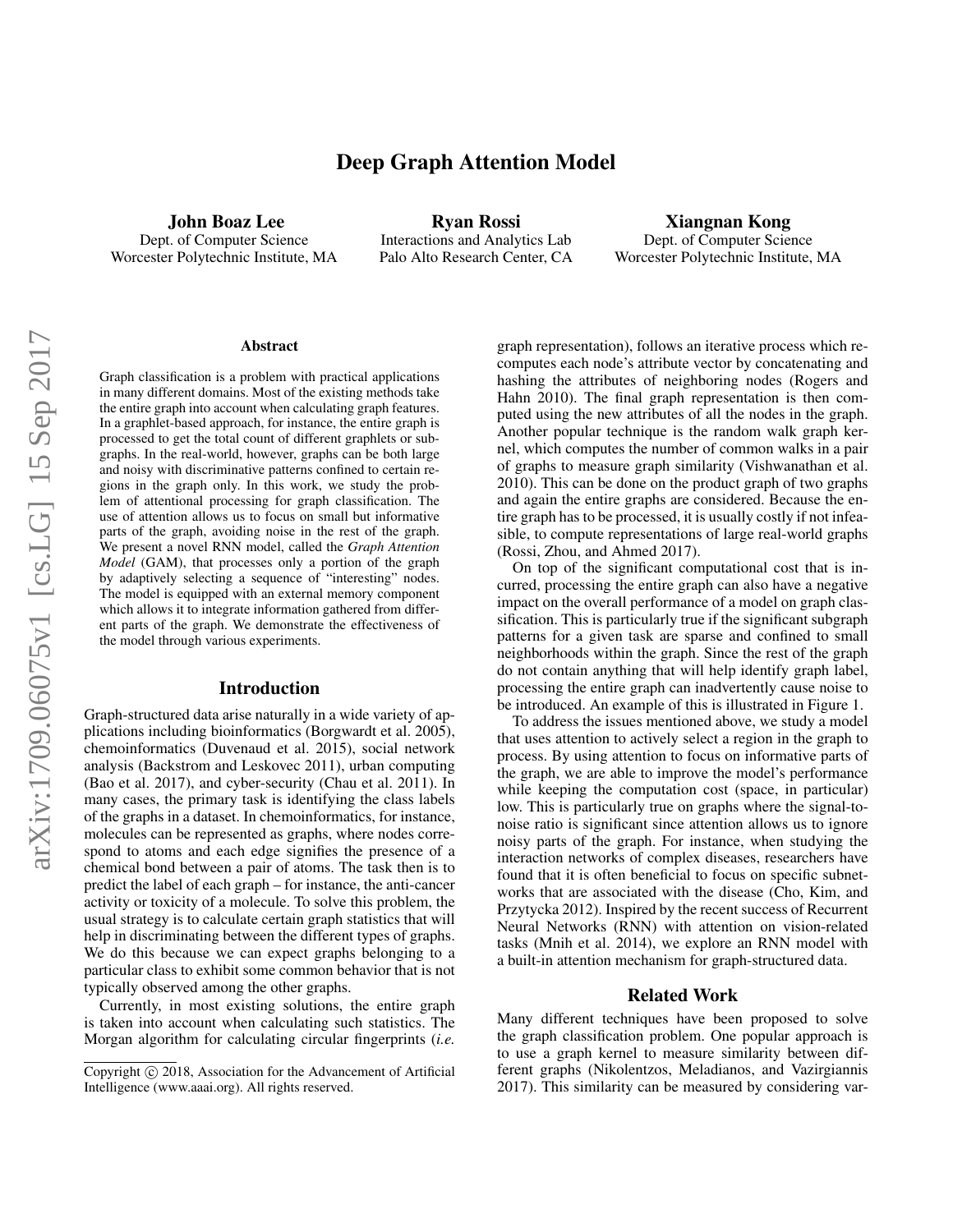# Deep Graph Attention Model

John Boaz Lee Dept. of Computer Science Worcester Polytechnic Institute, MA

Ryan Rossi Interactions and Analytics Lab Palo Alto Research Center, CA

Xiangnan Kong Dept. of Computer Science Worcester Polytechnic Institute, MA

#### Abstract

Graph classification is a problem with practical applications in many different domains. Most of the existing methods take the entire graph into account when calculating graph features. In a graphlet-based approach, for instance, the entire graph is processed to get the total count of different graphlets or subgraphs. In the real-world, however, graphs can be both large and noisy with discriminative patterns confined to certain regions in the graph only. In this work, we study the problem of attentional processing for graph classification. The use of attention allows us to focus on small but informative parts of the graph, avoiding noise in the rest of the graph. We present a novel RNN model, called the *Graph Attention Model* (GAM), that processes only a portion of the graph by adaptively selecting a sequence of "interesting" nodes. The model is equipped with an external memory component which allows it to integrate information gathered from different parts of the graph. We demonstrate the effectiveness of the model through various experiments.

#### Introduction

Graph-structured data arise naturally in a wide variety of applications including bioinformatics (Borgwardt et al. 2005), chemoinformatics (Duvenaud et al. 2015), social network analysis (Backstrom and Leskovec 2011), urban computing (Bao et al. 2017), and cyber-security (Chau et al. 2011). In many cases, the primary task is identifying the class labels of the graphs in a dataset. In chemoinformatics, for instance, molecules can be represented as graphs, where nodes correspond to atoms and each edge signifies the presence of a chemical bond between a pair of atoms. The task then is to predict the label of each graph – for instance, the anti-cancer activity or toxicity of a molecule. To solve this problem, the usual strategy is to calculate certain graph statistics that will help in discriminating between the different types of graphs. We do this because we can expect graphs belonging to a particular class to exhibit some common behavior that is not typically observed among the other graphs.

Currently, in most existing solutions, the entire graph is taken into account when calculating such statistics. The Morgan algorithm for calculating circular fingerprints (*i.e.*

graph representation), follows an iterative process which recomputes each node's attribute vector by concatenating and hashing the attributes of neighboring nodes (Rogers and Hahn 2010). The final graph representation is then computed using the new attributes of all the nodes in the graph. Another popular technique is the random walk graph kernel, which computes the number of common walks in a pair of graphs to measure graph similarity (Vishwanathan et al. 2010). This can be done on the product graph of two graphs and again the entire graphs are considered. Because the entire graph has to be processed, it is usually costly if not infeasible, to compute representations of large real-world graphs (Rossi, Zhou, and Ahmed 2017).

On top of the significant computational cost that is incurred, processing the entire graph can also have a negative impact on the overall performance of a model on graph classification. This is particularly true if the significant subgraph patterns for a given task are sparse and confined to small neighborhoods within the graph. Since the rest of the graph do not contain anything that will help identify graph label, processing the entire graph can inadvertently cause noise to be introduced. An example of this is illustrated in Figure 1.

To address the issues mentioned above, we study a model that uses attention to actively select a region in the graph to process. By using attention to focus on informative parts of the graph, we are able to improve the model's performance while keeping the computation cost (space, in particular) low. This is particularly true on graphs where the signal-tonoise ratio is significant since attention allows us to ignore noisy parts of the graph. For instance, when studying the interaction networks of complex diseases, researchers have found that it is often beneficial to focus on specific subnetworks that are associated with the disease (Cho, Kim, and Przytycka 2012). Inspired by the recent success of Recurrent Neural Networks (RNN) with attention on vision-related tasks (Mnih et al. 2014), we explore an RNN model with a built-in attention mechanism for graph-structured data.

#### Related Work

Many different techniques have been proposed to solve the graph classification problem. One popular approach is to use a graph kernel to measure similarity between different graphs (Nikolentzos, Meladianos, and Vazirgiannis 2017). This similarity can be measured by considering var-

Copyright (c) 2018, Association for the Advancement of Artificial Intelligence (www.aaai.org). All rights reserved.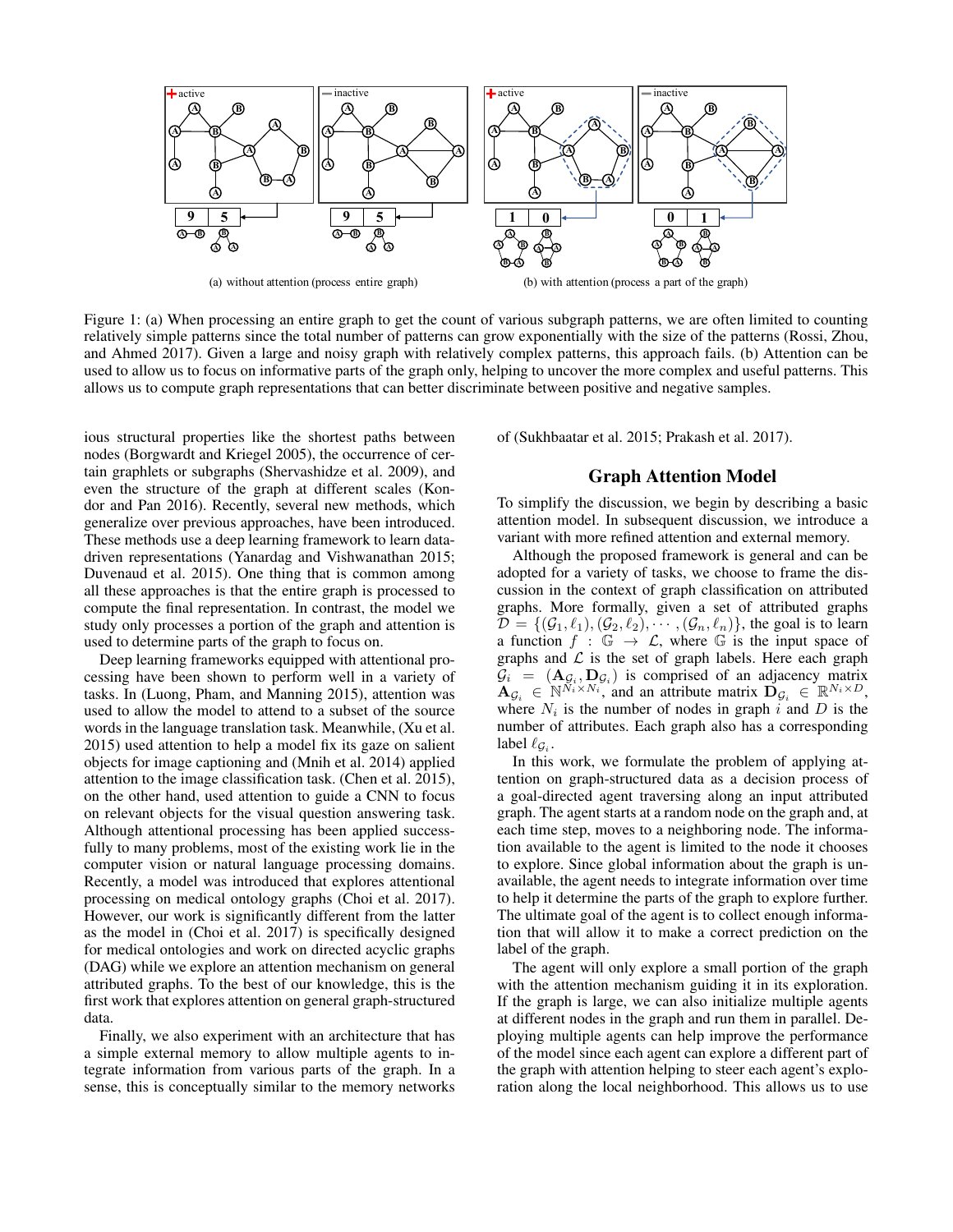

Figure 1: (a) When processing an entire graph to get the count of various subgraph patterns, we are often limited to counting relatively simple patterns since the total number of patterns can grow exponentially with the size of the patterns (Rossi, Zhou, and Ahmed 2017). Given a large and noisy graph with relatively complex patterns, this approach fails. (b) Attention can be used to allow us to focus on informative parts of the graph only, helping to uncover the more complex and useful patterns. This allows us to compute graph representations that can better discriminate between positive and negative samples.

ious structural properties like the shortest paths between nodes (Borgwardt and Kriegel 2005), the occurrence of certain graphlets or subgraphs (Shervashidze et al. 2009), and even the structure of the graph at different scales (Kondor and Pan 2016). Recently, several new methods, which generalize over previous approaches, have been introduced. These methods use a deep learning framework to learn datadriven representations (Yanardag and Vishwanathan 2015; Duvenaud et al. 2015). One thing that is common among all these approaches is that the entire graph is processed to compute the final representation. In contrast, the model we study only processes a portion of the graph and attention is used to determine parts of the graph to focus on.

Deep learning frameworks equipped with attentional processing have been shown to perform well in a variety of tasks. In (Luong, Pham, and Manning 2015), attention was used to allow the model to attend to a subset of the source words in the language translation task. Meanwhile, (Xu et al. 2015) used attention to help a model fix its gaze on salient objects for image captioning and (Mnih et al. 2014) applied attention to the image classification task. (Chen et al. 2015), on the other hand, used attention to guide a CNN to focus on relevant objects for the visual question answering task. Although attentional processing has been applied successfully to many problems, most of the existing work lie in the computer vision or natural language processing domains. Recently, a model was introduced that explores attentional processing on medical ontology graphs (Choi et al. 2017). However, our work is significantly different from the latter as the model in (Choi et al. 2017) is specifically designed for medical ontologies and work on directed acyclic graphs (DAG) while we explore an attention mechanism on general attributed graphs. To the best of our knowledge, this is the first work that explores attention on general graph-structured data.

Finally, we also experiment with an architecture that has a simple external memory to allow multiple agents to integrate information from various parts of the graph. In a sense, this is conceptually similar to the memory networks

of (Sukhbaatar et al. 2015; Prakash et al. 2017).

## Graph Attention Model

To simplify the discussion, we begin by describing a basic attention model. In subsequent discussion, we introduce a variant with more refined attention and external memory.

Although the proposed framework is general and can be adopted for a variety of tasks, we choose to frame the discussion in the context of graph classification on attributed graphs. More formally, given a set of attributed graphs  $\mathcal{D} = \{(\mathcal{G}_1, \ell_1),(\mathcal{G}_2, \ell_2), \cdots, (\mathcal{G}_n, \ell_n)\}\$ , the goal is to learn a function  $f : \mathbb{G} \to \mathcal{L}$ , where  $\mathbb{G}$  is the input space of graphs and  $\mathcal L$  is the set of graph labels. Here each graph  $\mathcal{G}_i = (\mathbf{A}_{\mathcal{G}_i}, \mathbf{D}_{\mathcal{G}_i})$  is comprised of an adjacency matrix  $\mathbf{A}_{\mathcal{G}_i} \in \mathbb{N}^{\tilde{N}_i \times N_i}$  and an attribute matrix  $\mathbf{D}_{\mathcal{G}_i} \in \mathbb{R}^{N_i \times D}$ , where  $N_i$  is the number of nodes in graph i and D is the number of attributes. Each graph also has a corresponding label  $\ell_{\mathcal{G}_i}$ .

In this work, we formulate the problem of applying attention on graph-structured data as a decision process of a goal-directed agent traversing along an input attributed graph. The agent starts at a random node on the graph and, at each time step, moves to a neighboring node. The information available to the agent is limited to the node it chooses to explore. Since global information about the graph is unavailable, the agent needs to integrate information over time to help it determine the parts of the graph to explore further. The ultimate goal of the agent is to collect enough information that will allow it to make a correct prediction on the label of the graph.

The agent will only explore a small portion of the graph with the attention mechanism guiding it in its exploration. If the graph is large, we can also initialize multiple agents at different nodes in the graph and run them in parallel. Deploying multiple agents can help improve the performance of the model since each agent can explore a different part of the graph with attention helping to steer each agent's exploration along the local neighborhood. This allows us to use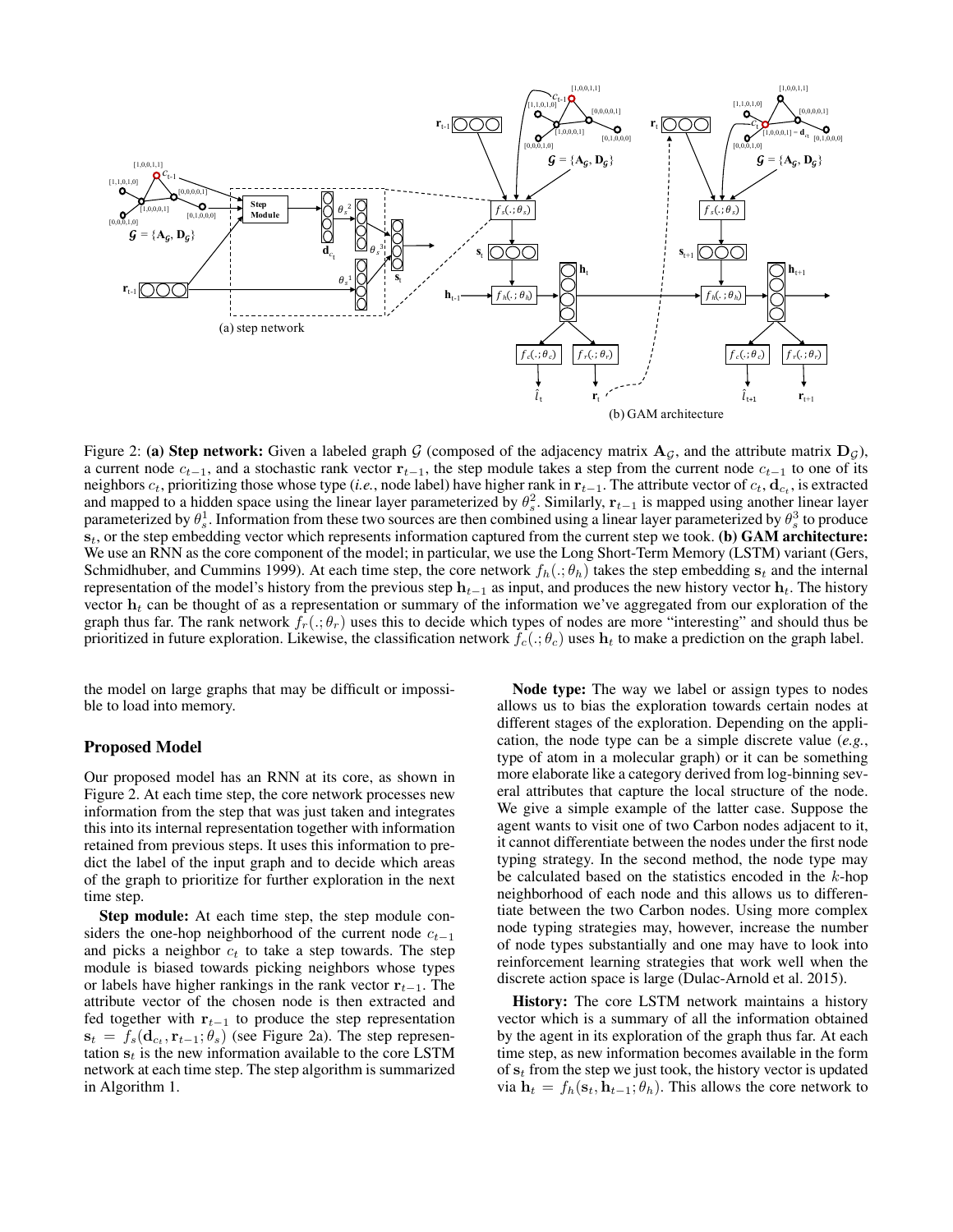

Figure 2: (a) Step network: Given a labeled graph G (composed of the adjacency matrix  $A_G$ , and the attribute matrix  $D_G$ ), a current node  $c_{t-1}$ , and a stochastic rank vector  $r_{t-1}$ , the step module takes a step from the current node  $c_{t-1}$  to one of its neighbors  $c_t$ , prioritizing those whose type (*i.e.*, node label) have higher rank in  $\mathbf{r}_{t-1}$ . The attribute vector of  $c_t$ ,  $\mathbf{d}_{c_t}$ , is extracted and mapped to a hidden space using the linear layer parameterized by  $\theta_s^2$ . Similarly,  $r_{t-1}$  is mapped using another linear layer parameterized by  $\theta_s^1$ . Information from these two sources are then combined using a linear layer parameterized by  $\theta_s^3$  to produce  $s_t$ , or the step embedding vector which represents information captured from the current step we took. (b) GAM architecture: We use an RNN as the core component of the model; in particular, we use the Long Short-Term Memory (LSTM) variant (Gers, Schmidhuber, and Cummins 1999). At each time step, the core network  $f_h(.; \theta_h)$  takes the step embedding  $s_t$  and the internal representation of the model's history from the previous step  $h_{t-1}$  as input, and produces the new history vector  $h_t$ . The history vector  $h_t$  can be thought of as a representation or summary of the information we've aggregated from our exploration of the graph thus far. The rank network  $f_r(.;\theta_r)$  uses this to decide which types of nodes are more "interesting" and should thus be prioritized in future exploration. Likewise, the classification network  $f_c(\cdot;\theta_c)$  uses  $\mathbf{h}_t$  to make a prediction on the graph label.

the model on large graphs that may be difficult or impossible to load into memory.

#### Proposed Model

Our proposed model has an RNN at its core, as shown in Figure 2. At each time step, the core network processes new information from the step that was just taken and integrates this into its internal representation together with information retained from previous steps. It uses this information to predict the label of the input graph and to decide which areas of the graph to prioritize for further exploration in the next time step.

Step module: At each time step, the step module considers the one-hop neighborhood of the current node  $c_{t-1}$ and picks a neighbor  $c_t$  to take a step towards. The step module is biased towards picking neighbors whose types or labels have higher rankings in the rank vector  $r_{t-1}$ . The attribute vector of the chosen node is then extracted and fed together with  $\mathbf{r}_{t-1}$  to produce the step representation  $\mathbf{s}_t = f_s(\mathbf{d}_{c_t}, \mathbf{r}_{t-1}; \theta_s)$  (see Figure 2a). The step representation  $s_t$  is the new information available to the core LSTM network at each time step. The step algorithm is summarized in Algorithm 1.

Node type: The way we label or assign types to nodes allows us to bias the exploration towards certain nodes at different stages of the exploration. Depending on the application, the node type can be a simple discrete value (*e.g.*, type of atom in a molecular graph) or it can be something more elaborate like a category derived from log-binning several attributes that capture the local structure of the node. We give a simple example of the latter case. Suppose the agent wants to visit one of two Carbon nodes adjacent to it, it cannot differentiate between the nodes under the first node typing strategy. In the second method, the node type may be calculated based on the statistics encoded in the  $k$ -hop neighborhood of each node and this allows us to differentiate between the two Carbon nodes. Using more complex node typing strategies may, however, increase the number of node types substantially and one may have to look into reinforcement learning strategies that work well when the discrete action space is large (Dulac-Arnold et al. 2015).

History: The core LSTM network maintains a history vector which is a summary of all the information obtained by the agent in its exploration of the graph thus far. At each time step, as new information becomes available in the form of  $s_t$  from the step we just took, the history vector is updated via  $\mathbf{h}_t = f_h(\mathbf{s}_t, \mathbf{h}_{t-1}; \theta_h)$ . This allows the core network to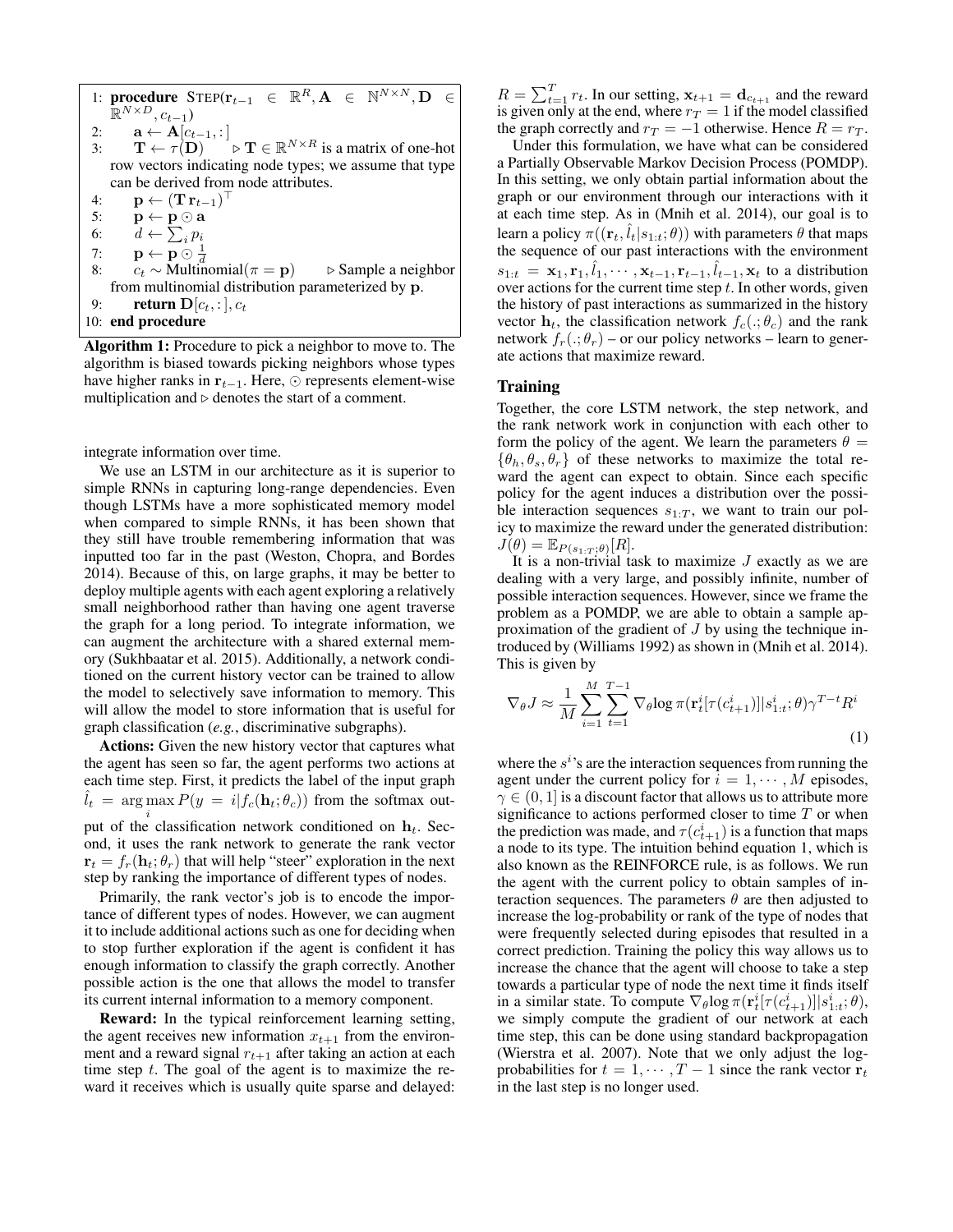| 1: procedure $\text{STEP}(\mathbf{r}_{t-1} \in \mathbb{R}^R, \mathbf{A} \in \mathbb{N}^{N \times N}, \mathbf{D} \in$      |  |  |  |  |  |  |  |  |  |
|---------------------------------------------------------------------------------------------------------------------------|--|--|--|--|--|--|--|--|--|
| $\mathbb{R}^{N \times D}$ , $c_{t-1}$ )                                                                                   |  |  |  |  |  |  |  |  |  |
| 2: $\mathbf{a} \leftarrow \mathbf{A}[c_{t-1},:]$                                                                          |  |  |  |  |  |  |  |  |  |
| 3: $\mathbf{T} \leftarrow \tau(\mathbf{D}) \longrightarrow \mathbf{T} \in \mathbb{R}^{N \times R}$ is a matrix of one-hot |  |  |  |  |  |  |  |  |  |
| row vectors indicating node types; we assume that type                                                                    |  |  |  |  |  |  |  |  |  |
| can be derived from node attributes.                                                                                      |  |  |  |  |  |  |  |  |  |
| $\mathbf{p} \leftarrow (\mathbf{T} \, \mathbf{r}_{t-1})^\top$<br>4:                                                       |  |  |  |  |  |  |  |  |  |
| 5:<br>$\mathbf{p} \leftarrow \mathbf{p} \odot \mathbf{a}$                                                                 |  |  |  |  |  |  |  |  |  |
| 6: $d \leftarrow \sum_i p_i$                                                                                              |  |  |  |  |  |  |  |  |  |
| 7: $\mathbf{p} \leftarrow \mathbf{p} \odot \frac{1}{d}$                                                                   |  |  |  |  |  |  |  |  |  |
| $c_t \sim$ Multinomial( $\pi = \mathbf{p}$ ) $\Rightarrow$ Sample a neighbor<br>8:                                        |  |  |  |  |  |  |  |  |  |
| from multinomial distribution parameterized by p.                                                                         |  |  |  |  |  |  |  |  |  |
| <b>return</b> $D[c_t, :], c_t$<br>9:                                                                                      |  |  |  |  |  |  |  |  |  |
| 10: end procedure                                                                                                         |  |  |  |  |  |  |  |  |  |

Algorithm 1: Procedure to pick a neighbor to move to. The algorithm is biased towards picking neighbors whose types have higher ranks in  $\mathbf{r}_{t-1}$ . Here,  $\odot$  represents element-wise multiplication and  $\triangleright$  denotes the start of a comment.

integrate information over time.

We use an LSTM in our architecture as it is superior to simple RNNs in capturing long-range dependencies. Even though LSTMs have a more sophisticated memory model when compared to simple RNNs, it has been shown that they still have trouble remembering information that was inputted too far in the past (Weston, Chopra, and Bordes 2014). Because of this, on large graphs, it may be better to deploy multiple agents with each agent exploring a relatively small neighborhood rather than having one agent traverse the graph for a long period. To integrate information, we can augment the architecture with a shared external memory (Sukhbaatar et al. 2015). Additionally, a network conditioned on the current history vector can be trained to allow the model to selectively save information to memory. This will allow the model to store information that is useful for graph classification (*e.g.*, discriminative subgraphs).

Actions: Given the new history vector that captures what the agent has seen so far, the agent performs two actions at each time step. First, it predicts the label of the input graph  $\hat{l}_t$  = arg max  $P(y = i|f_c(\mathbf{h}_t; \theta_c))$  from the softmax output of the classification network conditioned on  $h_t$ . Second, it uses the rank network to generate the rank vector  $\mathbf{r}_t = f_r(\mathbf{h}_t; \theta_r)$  that will help "steer" exploration in the next step by ranking the importance of different types of nodes.

Primarily, the rank vector's job is to encode the importance of different types of nodes. However, we can augment it to include additional actions such as one for deciding when to stop further exploration if the agent is confident it has enough information to classify the graph correctly. Another possible action is the one that allows the model to transfer its current internal information to a memory component.

Reward: In the typical reinforcement learning setting, the agent receives new information  $x_{t+1}$  from the environment and a reward signal  $r_{t+1}$  after taking an action at each time step  $t$ . The goal of the agent is to maximize the reward it receives which is usually quite sparse and delayed:

 $R = \sum_{t=1}^{T} r_t$ . In our setting,  $\mathbf{x}_{t+1} = \mathbf{d}_{c_{t+1}}$  and the reward is given only at the end, where  $r_T = 1$  if the model classified the graph correctly and  $r_T = -1$  otherwise. Hence  $R = r_T$ .

Under this formulation, we have what can be considered a Partially Observable Markov Decision Process (POMDP). In this setting, we only obtain partial information about the graph or our environment through our interactions with it at each time step. As in (Mnih et al. 2014), our goal is to learn a policy  $\pi((\mathbf{r}_t, \hat{l}_t|s_{1:t}; \theta))$  with parameters  $\theta$  that maps the sequence of our past interactions with the environment  $s_{1:t} = \mathbf{x}_1, \mathbf{r}_1, \hat{l}_1, \cdots, \mathbf{x}_{t-1}, \mathbf{r}_{t-1}, \hat{l}_{t-1}, \mathbf{x}_t$  to a distribution over actions for the current time step  $t$ . In other words, given the history of past interactions as summarized in the history vector  $h_t$ , the classification network  $f_c(.;\theta_c)$  and the rank network  $f_r(.;\theta_r)$  – or our policy networks – learn to generate actions that maximize reward.

## **Training**

Together, the core LSTM network, the step network, and the rank network work in conjunction with each other to form the policy of the agent. We learn the parameters  $\theta =$  $\{\theta_h, \theta_s, \theta_r\}$  of these networks to maximize the total reward the agent can expect to obtain. Since each specific policy for the agent induces a distribution over the possible interaction sequences  $s_{1:T}$ , we want to train our policy to maximize the reward under the generated distribution:  $J(\theta) = \mathbb{E}_{P(s_{1:T};\theta)}[R].$ 

It is a non-trivial task to maximize  $J$  exactly as we are dealing with a very large, and possibly infinite, number of possible interaction sequences. However, since we frame the problem as a POMDP, we are able to obtain a sample approximation of the gradient of J by using the technique introduced by (Williams 1992) as shown in (Mnih et al. 2014). This is given by

$$
\nabla_{\theta} J \approx \frac{1}{M} \sum_{i=1}^{M} \sum_{t=1}^{T-1} \nabla_{\theta} \log \pi(\mathbf{r}_t^i [\tau(c_{t+1}^i)] | s_{1:t}^i; \theta) \gamma^{T-t} R^i
$$
\n(1)

where the  $s^i$ 's are the interaction sequences from running the agent under the current policy for  $i = 1, \dots, M$  episodes,  $\gamma \in (0, 1]$  is a discount factor that allows us to attribute more significance to actions performed closer to time  $T$  or when the prediction was made, and  $\tau(c_{t+1}^i)$  is a function that maps a node to its type. The intuition behind equation 1, which is also known as the REINFORCE rule, is as follows. We run the agent with the current policy to obtain samples of interaction sequences. The parameters  $\theta$  are then adjusted to increase the log-probability or rank of the type of nodes that were frequently selected during episodes that resulted in a correct prediction. Training the policy this way allows us to increase the chance that the agent will choose to take a step towards a particular type of node the next time it finds itself in a similar state. To compute  $\nabla_{\theta} \log \pi(\mathbf{r}_t^i[\tau(c_{t+1}^i)] | s_{1:t}^i; \theta),$ we simply compute the gradient of our network at each time step, this can be done using standard backpropagation (Wierstra et al. 2007). Note that we only adjust the logprobabilities for  $t = 1, \dots, T - 1$  since the rank vector  $\mathbf{r}_t$ in the last step is no longer used.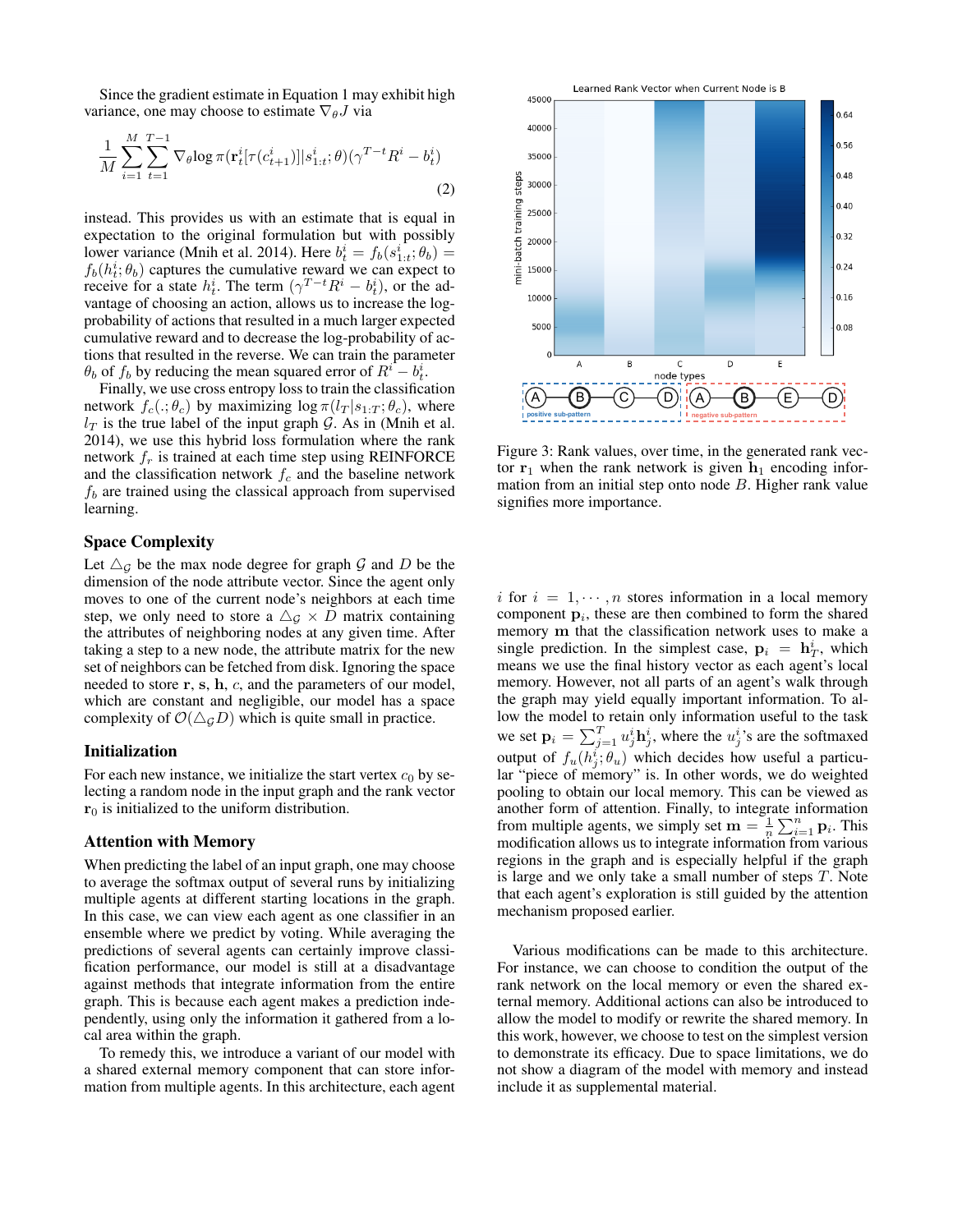Since the gradient estimate in Equation 1 may exhibit high variance, one may choose to estimate  $\nabla_{\theta} J$  via

$$
\frac{1}{M} \sum_{i=1}^{M} \sum_{t=1}^{T-1} \nabla_{\theta} \log \pi(\mathbf{r}_t^i [\tau(c_{t+1}^i)] | s_{1:t}^i; \theta) (\gamma^{T-t} R^i - b_t^i)
$$
\n(2)

instead. This provides us with an estimate that is equal in expectation to the original formulation but with possibly lower variance (Mnih et al. 2014). Here  $b_t^i = f_b(s_{1:t}^i; \theta_b) =$  $f_b(h_t^i; \theta_b)$  captures the cumulative reward we can expect to receive for a state  $h_t^i$ . The term  $(\gamma^{T-t}R^i - b_t^i)$ , or the advantage of choosing an action, allows us to increase the logprobability of actions that resulted in a much larger expected cumulative reward and to decrease the log-probability of actions that resulted in the reverse. We can train the parameter  $\theta_b$  of  $f_b$  by reducing the mean squared error of  $R^i - b_t^i$ .

Finally, we use cross entropy loss to train the classification network  $f_c(.;\theta_c)$  by maximizing  $\log \pi(l_T | s_{1:T}; \theta_c)$ , where  $l_T$  is the true label of the input graph G. As in (Mnih et al. 2014), we use this hybrid loss formulation where the rank network  $f_r$  is trained at each time step using REINFORCE and the classification network  $f_c$  and the baseline network  $f_b$  are trained using the classical approach from supervised learning.

#### Space Complexity

Let  $\triangle$ <sub>G</sub> be the max node degree for graph G and D be the dimension of the node attribute vector. Since the agent only moves to one of the current node's neighbors at each time step, we only need to store a  $\triangle$ <sub>G</sub>  $\times$  D matrix containing the attributes of neighboring nodes at any given time. After taking a step to a new node, the attribute matrix for the new set of neighbors can be fetched from disk. Ignoring the space needed to store  $r, s, h, c$ , and the parameters of our model, which are constant and negligible, our model has a space complexity of  $\mathcal{O}(\triangle_G D)$  which is quite small in practice.

#### Initialization

For each new instance, we initialize the start vertex  $c_0$  by selecting a random node in the input graph and the rank vector  $r_0$  is initialized to the uniform distribution.

#### Attention with Memory

When predicting the label of an input graph, one may choose to average the softmax output of several runs by initializing multiple agents at different starting locations in the graph. In this case, we can view each agent as one classifier in an ensemble where we predict by voting. While averaging the predictions of several agents can certainly improve classification performance, our model is still at a disadvantage against methods that integrate information from the entire graph. This is because each agent makes a prediction independently, using only the information it gathered from a local area within the graph.

To remedy this, we introduce a variant of our model with a shared external memory component that can store information from multiple agents. In this architecture, each agent



Figure 3: Rank values, over time, in the generated rank vector  $r_1$  when the rank network is given  $h_1$  encoding information from an initial step onto node B. Higher rank value signifies more importance.

i for  $i = 1, \dots, n$  stores information in a local memory component  $\mathbf{p}_i$ , these are then combined to form the shared memory m that the classification network uses to make a single prediction. In the simplest case,  $\mathbf{p}_i = \mathbf{h}_T^i$ , which means we use the final history vector as each agent's local memory. However, not all parts of an agent's walk through the graph may yield equally important information. To allow the model to retain only information useful to the task we set  $\mathbf{p}_i = \sum_{j=1}^T u_j^i \mathbf{h}_j^i$ , where the  $u_j^i$ 's are the softmaxed output of  $f_u(h_j^i; \theta_u)$  which decides how useful a particular "piece of memory" is. In other words, we do weighted pooling to obtain our local memory. This can be viewed as another form of attention. Finally, to integrate information from multiple agents, we simply set  $\mathbf{m} = \frac{1}{n} \sum_{i=1}^{n} \mathbf{p}_i$ . This modification allows us to integrate information from various regions in the graph and is especially helpful if the graph is large and we only take a small number of steps T. Note that each agent's exploration is still guided by the attention mechanism proposed earlier.

Various modifications can be made to this architecture. For instance, we can choose to condition the output of the rank network on the local memory or even the shared external memory. Additional actions can also be introduced to allow the model to modify or rewrite the shared memory. In this work, however, we choose to test on the simplest version to demonstrate its efficacy. Due to space limitations, we do not show a diagram of the model with memory and instead include it as supplemental material.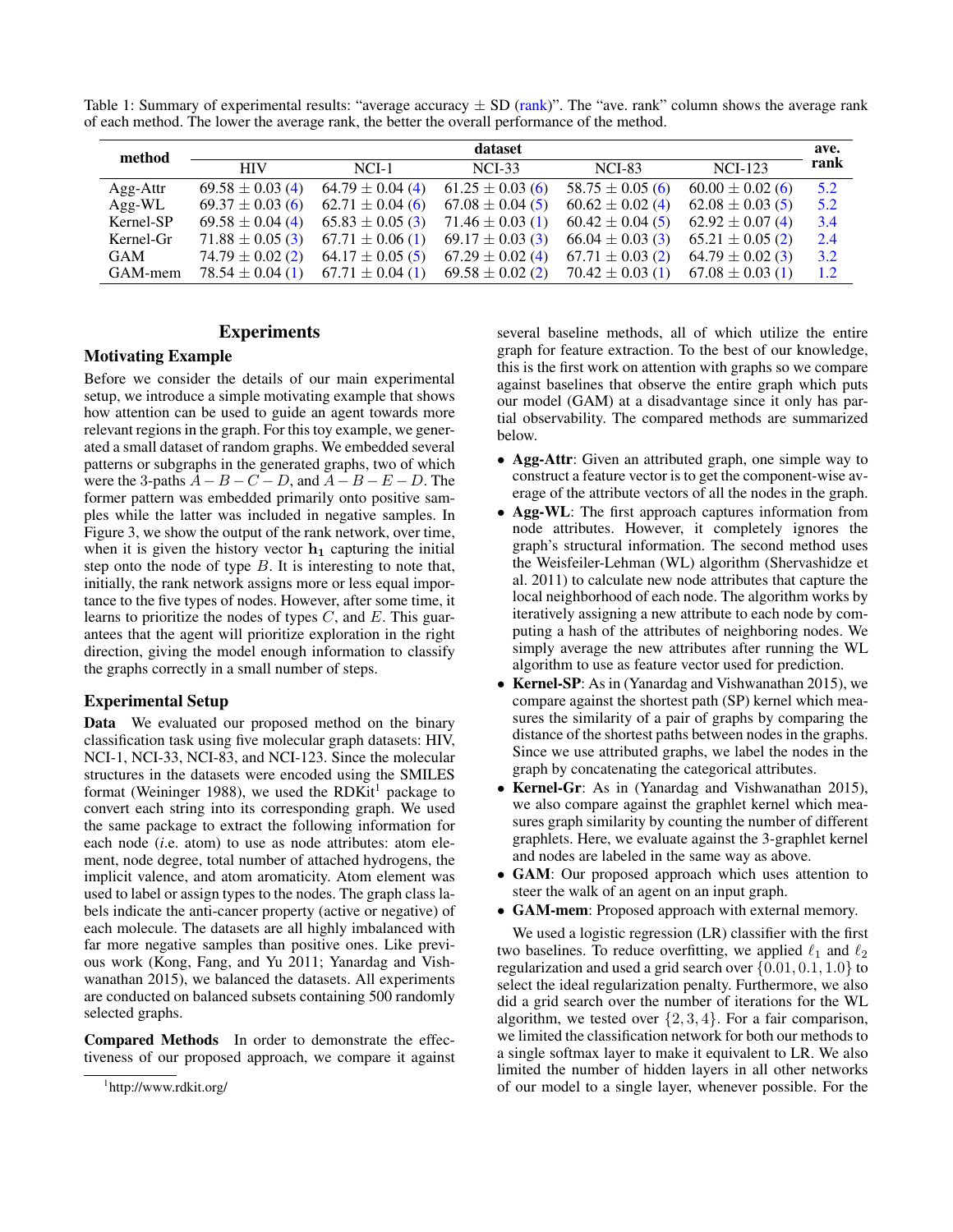Table 1: Summary of experimental results: "average accuracy  $\pm$  SD (rank)". The "ave. rank" column shows the average rank of each method. The lower the average rank, the better the overall performance of the method.

| method     | dataset              |                      |                      |                      |                      |      |  |  |  |  |
|------------|----------------------|----------------------|----------------------|----------------------|----------------------|------|--|--|--|--|
|            | <b>HIV</b>           | $NCI-1$              | $NCI-33$             | <b>NCI-83</b>        | <b>NCI-123</b>       | rank |  |  |  |  |
| Agg-Attr   | $69.58 \pm 0.03$ (4) | $64.79 \pm 0.04$ (4) | $61.25 \pm 0.03$ (6) | $58.75 \pm 0.05$ (6) | $60.00 \pm 0.02$ (6) | 5.2  |  |  |  |  |
| $Agg-WL$   | $69.37 \pm 0.03(6)$  | $62.71 \pm 0.04$ (6) | $67.08 \pm 0.04(5)$  | $60.62 \pm 0.02$ (4) | $62.08 \pm 0.03(5)$  | 5.2  |  |  |  |  |
| Kernel-SP  | $69.58 \pm 0.04$ (4) | $65.83 \pm 0.05$ (3) | $71.46 \pm 0.03$ (1) | $60.42 \pm 0.04(5)$  | $62.92 \pm 0.07(4)$  | 3.4  |  |  |  |  |
| Kernel-Gr  | $71.88 \pm 0.05$ (3) | $67.71 \pm 0.06$ (1) | $69.17 \pm 0.03$ (3) | $66.04 \pm 0.03$ (3) | $65.21 \pm 0.05$ (2) | 2.4  |  |  |  |  |
| <b>GAM</b> | $74.79 \pm 0.02$ (2) | $64.17 \pm 0.05$ (5) | $67.29 \pm 0.02$ (4) | $67.71 \pm 0.03$ (2) | $64.79 \pm 0.02$ (3) | 3.2  |  |  |  |  |
| GAM-mem    | $78.54 \pm 0.04(1)$  | $67.71 \pm 0.04$ (1) | $69.58 \pm 0.02$ (2) | $70.42 \pm 0.03$ (1) | $67.08 \pm 0.03$ (1) | 1.2  |  |  |  |  |

## Experiments

## Motivating Example

Before we consider the details of our main experimental setup, we introduce a simple motivating example that shows how attention can be used to guide an agent towards more relevant regions in the graph. For this toy example, we generated a small dataset of random graphs. We embedded several patterns or subgraphs in the generated graphs, two of which were the 3-paths  $\overline{A} - B - C - D$ , and  $A - B - E - D$ . The former pattern was embedded primarily onto positive samples while the latter was included in negative samples. In Figure 3, we show the output of the rank network, over time, when it is given the history vector  $h_1$  capturing the initial step onto the node of type  $B$ . It is interesting to note that, initially, the rank network assigns more or less equal importance to the five types of nodes. However, after some time, it learns to prioritize the nodes of types  $C$ , and  $E$ . This guarantees that the agent will prioritize exploration in the right direction, giving the model enough information to classify the graphs correctly in a small number of steps.

## Experimental Setup

Data We evaluated our proposed method on the binary classification task using five molecular graph datasets: HIV, NCI-1, NCI-33, NCI-83, and NCI-123. Since the molecular structures in the datasets were encoded using the SMILES format (Weininger 1988), we used the RDKit<sup>1</sup> package to convert each string into its corresponding graph. We used the same package to extract the following information for each node (*i*.e. atom) to use as node attributes: atom element, node degree, total number of attached hydrogens, the implicit valence, and atom aromaticity. Atom element was used to label or assign types to the nodes. The graph class labels indicate the anti-cancer property (active or negative) of each molecule. The datasets are all highly imbalanced with far more negative samples than positive ones. Like previous work (Kong, Fang, and Yu 2011; Yanardag and Vishwanathan 2015), we balanced the datasets. All experiments are conducted on balanced subsets containing 500 randomly selected graphs.

Compared Methods In order to demonstrate the effectiveness of our proposed approach, we compare it against

several baseline methods, all of which utilize the entire graph for feature extraction. To the best of our knowledge, this is the first work on attention with graphs so we compare against baselines that observe the entire graph which puts our model (GAM) at a disadvantage since it only has partial observability. The compared methods are summarized below.

- Agg-Attr: Given an attributed graph, one simple way to construct a feature vector is to get the component-wise average of the attribute vectors of all the nodes in the graph.
- Agg-WL: The first approach captures information from node attributes. However, it completely ignores the graph's structural information. The second method uses the Weisfeiler-Lehman (WL) algorithm (Shervashidze et al. 2011) to calculate new node attributes that capture the local neighborhood of each node. The algorithm works by iteratively assigning a new attribute to each node by computing a hash of the attributes of neighboring nodes. We simply average the new attributes after running the WL algorithm to use as feature vector used for prediction.
- Kernel-SP: As in (Yanardag and Vishwanathan 2015), we compare against the shortest path (SP) kernel which measures the similarity of a pair of graphs by comparing the distance of the shortest paths between nodes in the graphs. Since we use attributed graphs, we label the nodes in the graph by concatenating the categorical attributes.
- Kernel-Gr: As in (Yanardag and Vishwanathan 2015), we also compare against the graphlet kernel which measures graph similarity by counting the number of different graphlets. Here, we evaluate against the 3-graphlet kernel and nodes are labeled in the same way as above.
- GAM: Our proposed approach which uses attention to steer the walk of an agent on an input graph.
- GAM-mem: Proposed approach with external memory.

We used a logistic regression (LR) classifier with the first two baselines. To reduce overfitting, we applied  $\ell_1$  and  $\ell_2$ regularization and used a grid search over  $\{0.01, 0.1, 1.0\}$  to select the ideal regularization penalty. Furthermore, we also did a grid search over the number of iterations for the WL algorithm, we tested over  $\{2, 3, 4\}$ . For a fair comparison, we limited the classification network for both our methods to a single softmax layer to make it equivalent to LR. We also limited the number of hidden layers in all other networks of our model to a single layer, whenever possible. For the

<sup>1</sup> http://www.rdkit.org/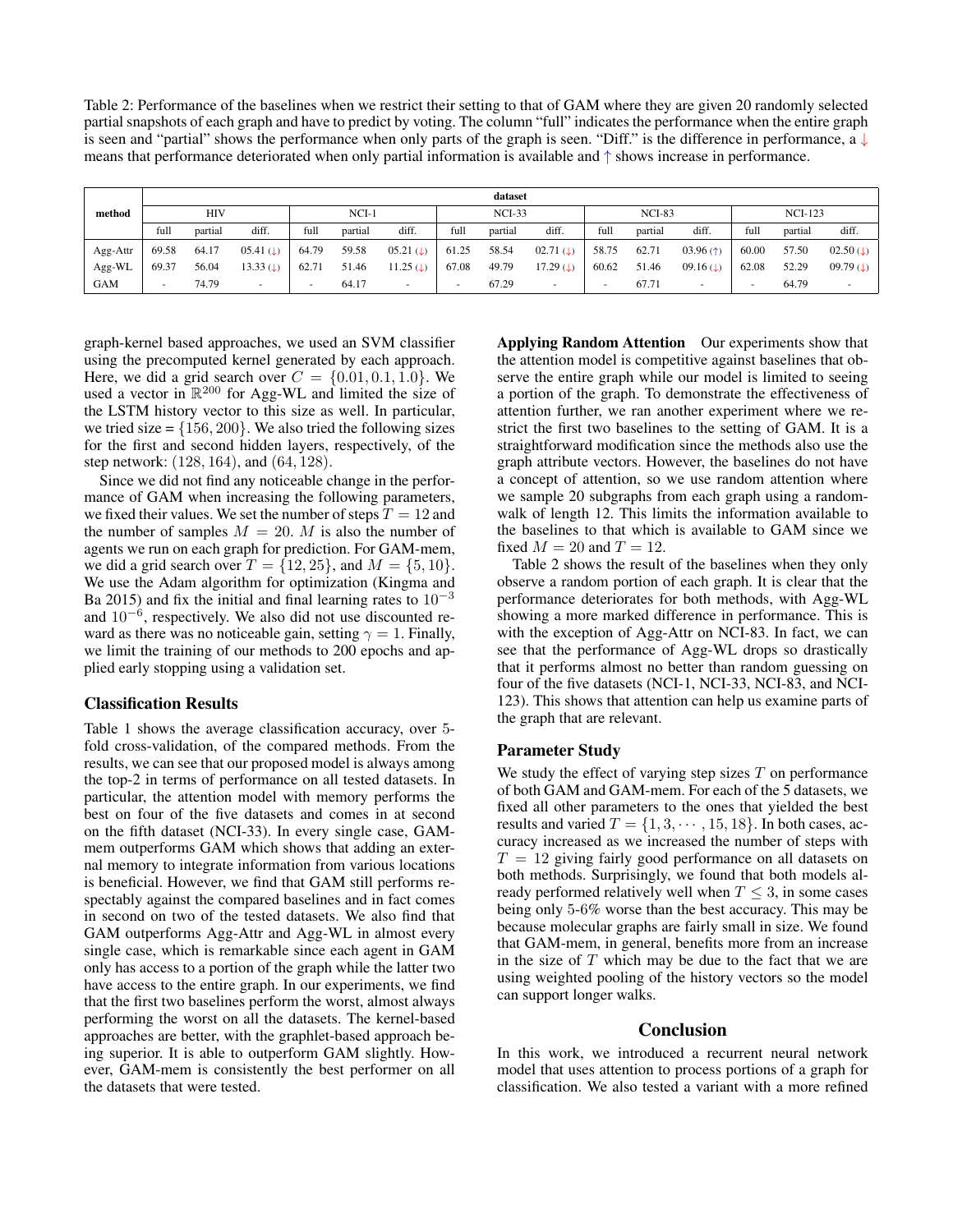Table 2: Performance of the baselines when we restrict their setting to that of GAM where they are given 20 randomly selected partial snapshots of each graph and have to predict by voting. The column "full" indicates the performance when the entire graph is seen and "partial" shows the performance when only parts of the graph is seen. "Diff." is the difference in performance, a ↓ means that performance deteriorated when only partial information is available and ↑ shows increase in performance.

|               | dataset                  |         |                          |                          |          |                          |               |         |                        |                          |         |                          |       |         |                          |
|---------------|--------------------------|---------|--------------------------|--------------------------|----------|--------------------------|---------------|---------|------------------------|--------------------------|---------|--------------------------|-------|---------|--------------------------|
| method<br>HIV |                          |         | $NCI-1$                  |                          | $NCI-33$ |                          | <b>NCI-83</b> |         |                        | $NCI-123$                |         |                          |       |         |                          |
|               | full                     | partial | diff.                    | full                     | partial  | diff.                    | full          | partial | diff.                  | full                     | partial | diff.                    | full  | partial | diff.                    |
| Agg-Attr      | 69.58                    | 64.17   | 05.41 ( $\downarrow$ )   | 64.79                    | 59.58    | $05.21 \; (L)$           | 61.25         | 58.54   | 02.71 ( $\downarrow$ ) | 58.75                    | 62.71   | 03.96(f)                 | 60.00 | 57.50   | $02.50$ ( $\downarrow$ ) |
| Agg-WL        | 69.37                    | 56.04   | 13.33 ( $\downarrow$ )   | 62.71                    | 51.46    | 11.25 ( $\downarrow$ )   | 67.08         | 49.79   | 17.29 ( $\downarrow$ ) | 60.62                    | 51.46   | 09.16 ( $\downarrow$ )   | 62.08 | 52.29   | $09.79$ (1)              |
| GAM           | $\overline{\phantom{a}}$ | 74.79   | $\overline{\phantom{a}}$ | $\overline{\phantom{a}}$ | 64.17    | $\overline{\phantom{a}}$ |               | 67.29   | $\,$                   | $\overline{\phantom{a}}$ | 67.71   | $\overline{\phantom{0}}$ | -     | 64.79   |                          |

graph-kernel based approaches, we used an SVM classifier using the precomputed kernel generated by each approach. Here, we did a grid search over  $C = \{0.01, 0.1, 1.0\}$ . We used a vector in  $\mathbb{R}^{200}$  for Agg-WL and limited the size of the LSTM history vector to this size as well. In particular, we tried size =  $\{156, 200\}$ . We also tried the following sizes for the first and second hidden layers, respectively, of the step network: (128, 164), and (64, 128).

Since we did not find any noticeable change in the performance of GAM when increasing the following parameters, we fixed their values. We set the number of steps  $T = 12$  and the number of samples  $M = 20$ . M is also the number of agents we run on each graph for prediction. For GAM-mem, we did a grid search over  $T = \{12, 25\}$ , and  $M = \{5, 10\}$ . We use the Adam algorithm for optimization (Kingma and Ba 2015) and fix the initial and final learning rates to  $10^{-3}$ and  $10^{-6}$ , respectively. We also did not use discounted reward as there was no noticeable gain, setting  $\gamma = 1$ . Finally, we limit the training of our methods to 200 epochs and applied early stopping using a validation set.

## Classification Results

Table 1 shows the average classification accuracy, over 5 fold cross-validation, of the compared methods. From the results, we can see that our proposed model is always among the top-2 in terms of performance on all tested datasets. In particular, the attention model with memory performs the best on four of the five datasets and comes in at second on the fifth dataset (NCI-33). In every single case, GAMmem outperforms GAM which shows that adding an external memory to integrate information from various locations is beneficial. However, we find that GAM still performs respectably against the compared baselines and in fact comes in second on two of the tested datasets. We also find that GAM outperforms Agg-Attr and Agg-WL in almost every single case, which is remarkable since each agent in GAM only has access to a portion of the graph while the latter two have access to the entire graph. In our experiments, we find that the first two baselines perform the worst, almost always performing the worst on all the datasets. The kernel-based approaches are better, with the graphlet-based approach being superior. It is able to outperform GAM slightly. However, GAM-mem is consistently the best performer on all the datasets that were tested.

Applying Random Attention Our experiments show that the attention model is competitive against baselines that observe the entire graph while our model is limited to seeing a portion of the graph. To demonstrate the effectiveness of attention further, we ran another experiment where we restrict the first two baselines to the setting of GAM. It is a straightforward modification since the methods also use the graph attribute vectors. However, the baselines do not have a concept of attention, so we use random attention where we sample 20 subgraphs from each graph using a randomwalk of length 12. This limits the information available to the baselines to that which is available to GAM since we fixed  $M = 20$  and  $T = 12$ .

Table 2 shows the result of the baselines when they only observe a random portion of each graph. It is clear that the performance deteriorates for both methods, with Agg-WL showing a more marked difference in performance. This is with the exception of Agg-Attr on NCI-83. In fact, we can see that the performance of Agg-WL drops so drastically that it performs almost no better than random guessing on four of the five datasets (NCI-1, NCI-33, NCI-83, and NCI-123). This shows that attention can help us examine parts of the graph that are relevant.

#### Parameter Study

We study the effect of varying step sizes  $T$  on performance of both GAM and GAM-mem. For each of the 5 datasets, we fixed all other parameters to the ones that yielded the best results and varied  $T = \{1, 3, \dots, 15, 18\}$ . In both cases, accuracy increased as we increased the number of steps with  $T = 12$  giving fairly good performance on all datasets on both methods. Surprisingly, we found that both models already performed relatively well when  $T \leq 3$ , in some cases being only 5-6% worse than the best accuracy. This may be because molecular graphs are fairly small in size. We found that GAM-mem, in general, benefits more from an increase in the size of  $T$  which may be due to the fact that we are using weighted pooling of the history vectors so the model can support longer walks.

#### Conclusion

In this work, we introduced a recurrent neural network model that uses attention to process portions of a graph for classification. We also tested a variant with a more refined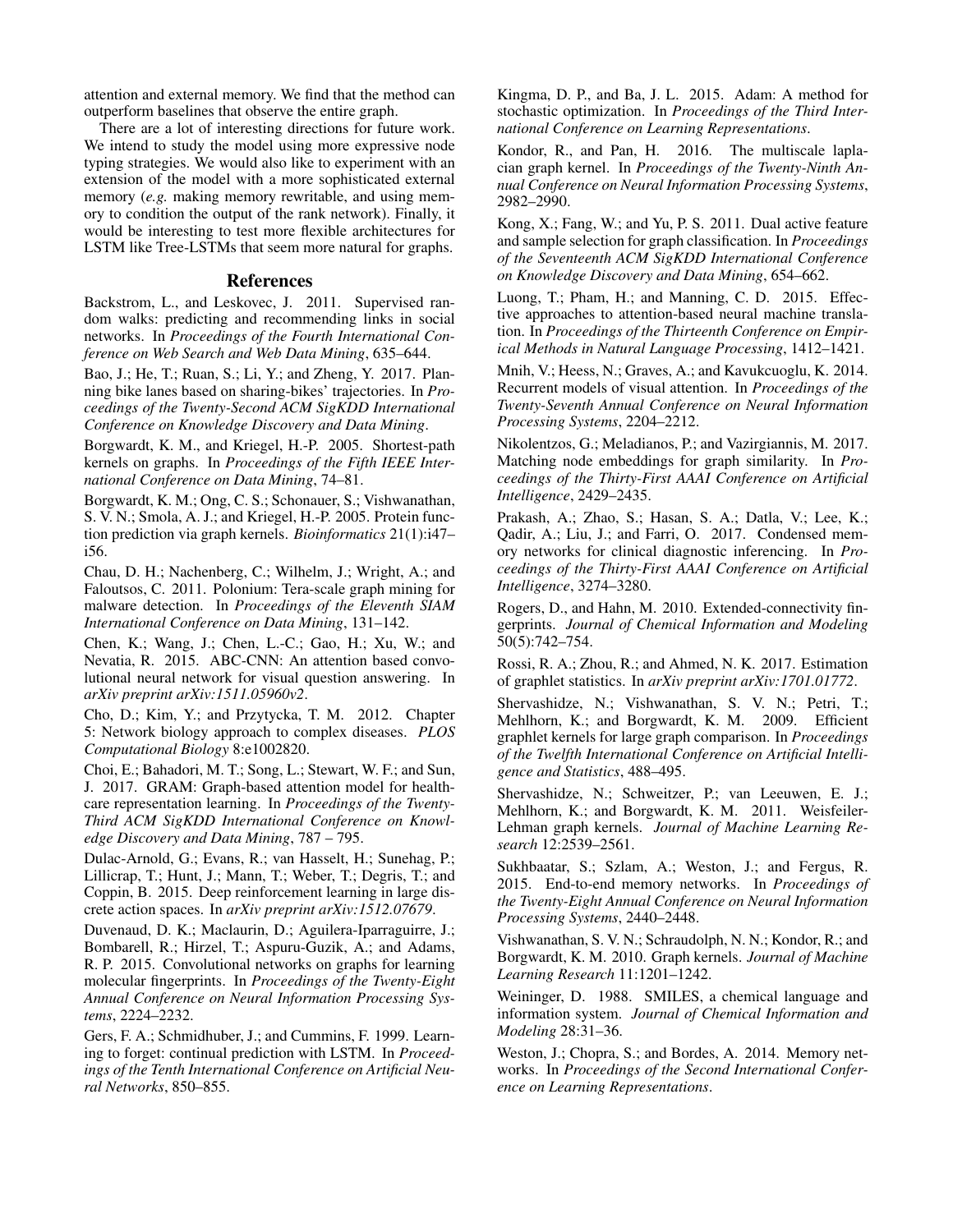attention and external memory. We find that the method can outperform baselines that observe the entire graph.

There are a lot of interesting directions for future work. We intend to study the model using more expressive node typing strategies. We would also like to experiment with an extension of the model with a more sophisticated external memory (*e.g.* making memory rewritable, and using memory to condition the output of the rank network). Finally, it would be interesting to test more flexible architectures for LSTM like Tree-LSTMs that seem more natural for graphs.

#### References

Backstrom, L., and Leskovec, J. 2011. Supervised random walks: predicting and recommending links in social networks. In *Proceedings of the Fourth International Conference on Web Search and Web Data Mining*, 635–644.

Bao, J.; He, T.; Ruan, S.; Li, Y.; and Zheng, Y. 2017. Planning bike lanes based on sharing-bikes' trajectories. In *Proceedings of the Twenty-Second ACM SigKDD International Conference on Knowledge Discovery and Data Mining*.

Borgwardt, K. M., and Kriegel, H.-P. 2005. Shortest-path kernels on graphs. In *Proceedings of the Fifth IEEE International Conference on Data Mining*, 74–81.

Borgwardt, K. M.; Ong, C. S.; Schonauer, S.; Vishwanathan, S. V. N.; Smola, A. J.; and Kriegel, H.-P. 2005. Protein function prediction via graph kernels. *Bioinformatics* 21(1):i47– i56.

Chau, D. H.; Nachenberg, C.; Wilhelm, J.; Wright, A.; and Faloutsos, C. 2011. Polonium: Tera-scale graph mining for malware detection. In *Proceedings of the Eleventh SIAM International Conference on Data Mining*, 131–142.

Chen, K.; Wang, J.; Chen, L.-C.; Gao, H.; Xu, W.; and Nevatia, R. 2015. ABC-CNN: An attention based convolutional neural network for visual question answering. In *arXiv preprint arXiv:1511.05960v2*.

Cho, D.; Kim, Y.; and Przytycka, T. M. 2012. Chapter 5: Network biology approach to complex diseases. *PLOS Computational Biology* 8:e1002820.

Choi, E.; Bahadori, M. T.; Song, L.; Stewart, W. F.; and Sun, J. 2017. GRAM: Graph-based attention model for healthcare representation learning. In *Proceedings of the Twenty-Third ACM SigKDD International Conference on Knowledge Discovery and Data Mining*, 787 – 795.

Dulac-Arnold, G.; Evans, R.; van Hasselt, H.; Sunehag, P.; Lillicrap, T.; Hunt, J.; Mann, T.; Weber, T.; Degris, T.; and Coppin, B. 2015. Deep reinforcement learning in large discrete action spaces. In *arXiv preprint arXiv:1512.07679*.

Duvenaud, D. K.; Maclaurin, D.; Aguilera-Iparraguirre, J.; Bombarell, R.; Hirzel, T.; Aspuru-Guzik, A.; and Adams, R. P. 2015. Convolutional networks on graphs for learning molecular fingerprints. In *Proceedings of the Twenty-Eight Annual Conference on Neural Information Processing Systems*, 2224–2232.

Gers, F. A.; Schmidhuber, J.; and Cummins, F. 1999. Learning to forget: continual prediction with LSTM. In *Proceedings of the Tenth International Conference on Artificial Neural Networks*, 850–855.

Kingma, D. P., and Ba, J. L. 2015. Adam: A method for stochastic optimization. In *Proceedings of the Third International Conference on Learning Representations*.

Kondor, R., and Pan, H. 2016. The multiscale laplacian graph kernel. In *Proceedings of the Twenty-Ninth Annual Conference on Neural Information Processing Systems*, 2982–2990.

Kong, X.; Fang, W.; and Yu, P. S. 2011. Dual active feature and sample selection for graph classification. In *Proceedings of the Seventeenth ACM SigKDD International Conference on Knowledge Discovery and Data Mining*, 654–662.

Luong, T.; Pham, H.; and Manning, C. D. 2015. Effective approaches to attention-based neural machine translation. In *Proceedings of the Thirteenth Conference on Empirical Methods in Natural Language Processing*, 1412–1421.

Mnih, V.; Heess, N.; Graves, A.; and Kavukcuoglu, K. 2014. Recurrent models of visual attention. In *Proceedings of the Twenty-Seventh Annual Conference on Neural Information Processing Systems*, 2204–2212.

Nikolentzos, G.; Meladianos, P.; and Vazirgiannis, M. 2017. Matching node embeddings for graph similarity. In *Proceedings of the Thirty-First AAAI Conference on Artificial Intelligence*, 2429–2435.

Prakash, A.; Zhao, S.; Hasan, S. A.; Datla, V.; Lee, K.; Qadir, A.; Liu, J.; and Farri, O. 2017. Condensed memory networks for clinical diagnostic inferencing. In *Proceedings of the Thirty-First AAAI Conference on Artificial Intelligence*, 3274–3280.

Rogers, D., and Hahn, M. 2010. Extended-connectivity fingerprints. *Journal of Chemical Information and Modeling* 50(5):742–754.

Rossi, R. A.; Zhou, R.; and Ahmed, N. K. 2017. Estimation of graphlet statistics. In *arXiv preprint arXiv:1701.01772*.

Shervashidze, N.; Vishwanathan, S. V. N.; Petri, T.; Mehlhorn, K.; and Borgwardt, K. M. 2009. Efficient graphlet kernels for large graph comparison. In *Proceedings of the Twelfth International Conference on Artificial Intelligence and Statistics*, 488–495.

Shervashidze, N.; Schweitzer, P.; van Leeuwen, E. J.; Mehlhorn, K.; and Borgwardt, K. M. 2011. Weisfeiler-Lehman graph kernels. *Journal of Machine Learning Research* 12:2539–2561.

Sukhbaatar, S.; Szlam, A.; Weston, J.; and Fergus, R. 2015. End-to-end memory networks. In *Proceedings of the Twenty-Eight Annual Conference on Neural Information Processing Systems*, 2440–2448.

Vishwanathan, S. V. N.; Schraudolph, N. N.; Kondor, R.; and Borgwardt, K. M. 2010. Graph kernels. *Journal of Machine Learning Research* 11:1201–1242.

Weininger, D. 1988. SMILES, a chemical language and information system. *Journal of Chemical Information and Modeling* 28:31–36.

Weston, J.; Chopra, S.; and Bordes, A. 2014. Memory networks. In *Proceedings of the Second International Conference on Learning Representations*.